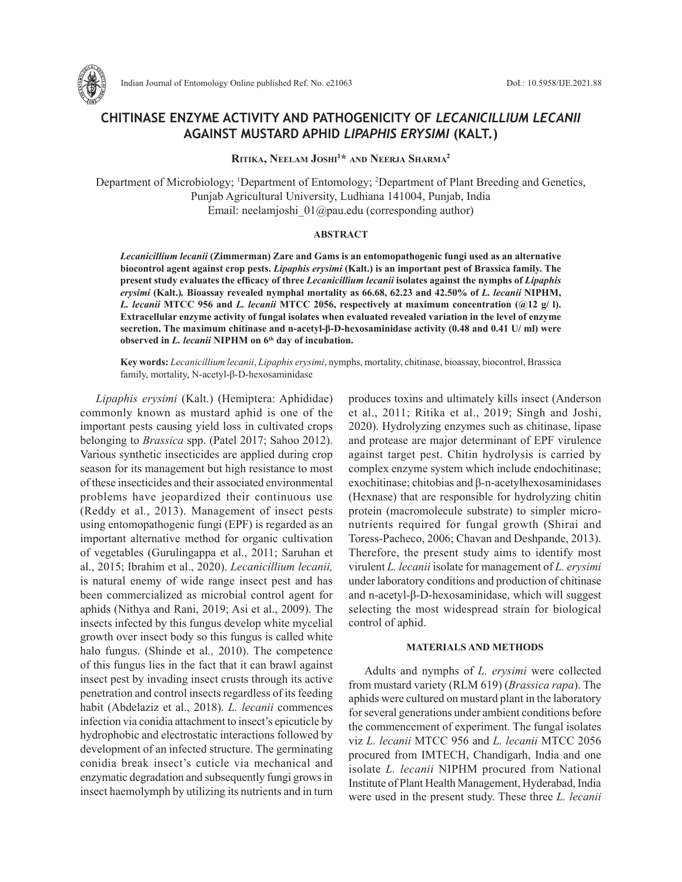

Indian Journal of Entomology Online published Ref. No. e21063 DoI.: 10.5958/IJE.2021.88

# **CHITINASE ENZYME ACTIVITY AND PATHOGENICITY OF** *LECANICILLIUM LECANII* **AGAINST MUSTARD APHID** *LIPAPHIS ERYSIMI* **(KALT.)**

**Ritika, Neelam Joshi1 \* and Neerja Sharma2** 

Department of Microbiology; 1 Department of Entomology; 2 Department of Plant Breeding and Genetics, Punjab Agricultural University, Ludhiana 141004, Punjab, India Email: neelamjoshi\_01@pau.edu (corresponding author)

#### **ABSTRACT**

*Lecanicillium lecanii* **(Zimmerman) Zare and Gams is an entomopathogenic fungi used as an alternative biocontrol agent against crop pests.** *Lipaphis erysimi* **(Kalt.) is an important pest of Brassica family. The present study evaluates the efficacy of three** *Lecanicillium lecanii* **isolates against the nymphs of** *Lipaphis erysimi* **(Kalt.)***.* **Bioassay revealed nymphal mortality as 66.68, 62.23 and 42.50% of** *L. lecanii* **NIPHM,**  *L. lecanii* **MTCC 956 and** *L. lecanii* **MTCC 2056, respectively at maximum concentration (@12 g/ l). Extracellular enzyme activity of fungal isolates when evaluated revealed variation in the level of enzyme secretion. The maximum chitinase and n-acetyl-β-D-hexosaminidase activity (0.48 and 0.41 U/ ml) were observed in** *L. lecanii* **NIPHM on 6th day of incubation.** 

**Key words:** *Lecanicillium lecanii*, *Lipaphis erysimi*, nymphs, mortality, chitinase, bioassay, biocontrol, Brassica family, mortality, N-acetyl-β-D-hexosaminidase

*Lipaphis erysimi* (Kalt.) (Hemiptera: Aphididae) commonly known as mustard aphid is one of the important pests causing yield loss in cultivated crops belonging to *Brassica* spp. (Patel 2017; Sahoo 2012). Various synthetic insecticides are applied during crop season for its management but high resistance to most of these insecticides and their associated environmental problems have jeopardized their continuous use (Reddy et al*.*, 2013). Management of insect pests using entomopathogenic fungi (EPF) is regarded as an important alternative method for organic cultivation of vegetables (Gurulingappa et al., 2011; Saruhan et al., 2015; Ibrahim et al., 2020). *Lecanicillium lecanii,*  is natural enemy of wide range insect pest and has been commercialized as microbial control agent for aphids (Nithya and Rani, 2019; Asi et al., 2009). The insects infected by this fungus develop white mycelial growth over insect body so this fungus is called white halo fungus. (Shinde et al*.,* 2010). The competence of this fungus lies in the fact that it can brawl against insect pest by invading insect crusts through its active penetration and control insects regardless of its feeding habit (Abdelaziz et al., 2018). *L. lecanii* commences infection via conidia attachment to insect's epicuticle by hydrophobic and electrostatic interactions followed by development of an infected structure. The germinating conidia break insect's cuticle via mechanical and enzymatic degradation and subsequently fungi grows in insect haemolymph by utilizing its nutrients and in turn produces toxins and ultimately kills insect (Anderson et al., 2011; Ritika et al., 2019; Singh and Joshi, 2020). Hydrolyzing enzymes such as chitinase, lipase and protease are major determinant of EPF virulence against target pest. Chitin hydrolysis is carried by complex enzyme system which include endochitinase; exochitinase; chitobias and β-n-acetylhexosaminidases (Hexnase) that are responsible for hydrolyzing chitin protein (macromolecule substrate) to simpler micronutrients required for fungal growth (Shirai and Toress-Pacheco, 2006; Chavan and Deshpande, 2013). Therefore, the present study aims to identify most virulent *L. lecanii* isolate for management of *L. erysimi* under laboratory conditions and production of chitinase and n-acetyl-β-D-hexosaminidase, which will suggest selecting the most widespread strain for biological control of aphid.

### **MATERIALS AND METHODS**

Adults and nymphs of *L. erysimi* were collected from mustard variety (RLM 619) (*Brassica rapa*). The aphids were cultured on mustard plant in the laboratory for several generations under ambient conditions before the commencement of experiment. The fungal isolates viz *L. lecanii* MTCC 956 and *L. lecanii* MTCC 2056 procured from IMTECH, Chandigarh, India and one isolate *L. lecanii* NIPHM procured from National Institute of Plant Health Management, Hyderabad, India were used in the present study. These three *L. lecanii*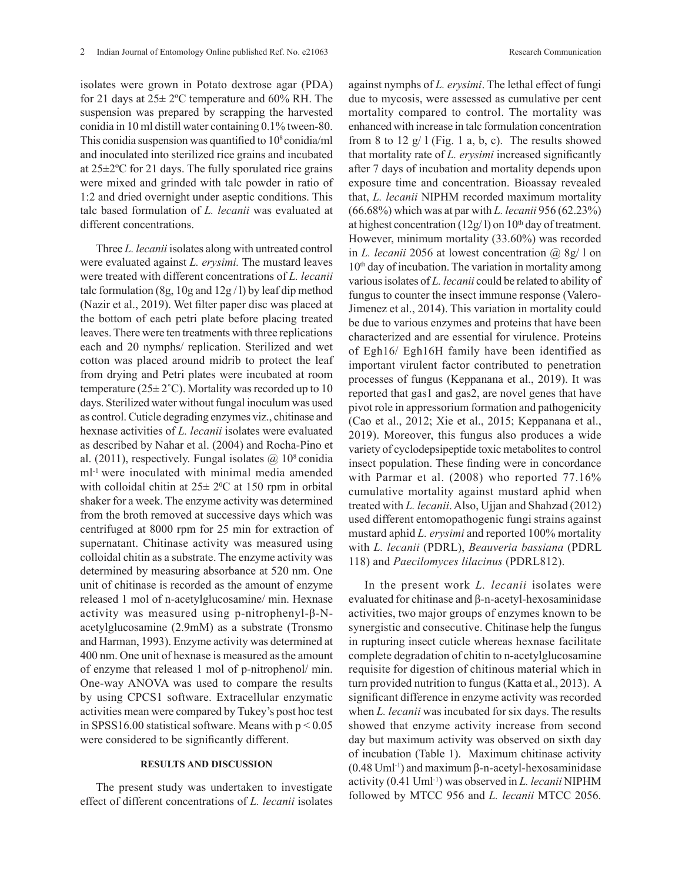isolates were grown in Potato dextrose agar (PDA) for 21 days at  $25 \pm 2$ °C temperature and 60% RH. The suspension was prepared by scrapping the harvested conidia in 10 ml distill water containing 0.1% tween-80. This conidia suspension was quantified to  $10^8$  conidia/ml and inoculated into sterilized rice grains and incubated at 25±2ºC for 21 days. The fully sporulated rice grains were mixed and grinded with talc powder in ratio of 1:2 and dried overnight under aseptic conditions. This talc based formulation of *L. lecanii* was evaluated at different concentrations.

Three *L. lecanii* isolates along with untreated control were evaluated against *L. erysimi.* The mustard leaves were treated with different concentrations of *L. lecanii* talc formulation (8g, 10g and  $12g/1$ ) by leaf dip method (Nazir et al., 2019). Wet filter paper disc was placed at the bottom of each petri plate before placing treated leaves. There were ten treatments with three replications each and 20 nymphs/ replication. Sterilized and wet cotton was placed around midrib to protect the leaf from drying and Petri plates were incubated at room temperature ( $25 \pm 2^{\circ}$ C). Mortality was recorded up to 10 days. Sterilized water without fungal inoculum was used as control. Cuticle degrading enzymes viz., chitinase and hexnase activities of *L. lecanii* isolates were evaluated as described by Nahar et al. (2004) and Rocha-Pino et al. (2011), respectively. Fungal isolates  $\omega$  10<sup>8</sup> conidia ml-1 were inoculated with minimal media amended with colloidal chitin at  $25 \pm 2$ <sup>o</sup>C at 150 rpm in orbital shaker for a week. The enzyme activity was determined from the broth removed at successive days which was centrifuged at 8000 rpm for 25 min for extraction of supernatant. Chitinase activity was measured using colloidal chitin as a substrate. The enzyme activity was determined by measuring absorbance at 520 nm. One unit of chitinase is recorded as the amount of enzyme released 1 mol of n-acetylglucosamine/ min. Hexnase activity was measured using p-nitrophenyl-β-Nacetylglucosamine (2.9mM) as a substrate (Tronsmo and Harman, 1993). Enzyme activity was determined at 400 nm. One unit of hexnase is measured as the amount of enzyme that released 1 mol of p-nitrophenol/ min. One-way ANOVA was used to compare the results by using CPCS1 software. Extracellular enzymatic activities mean were compared by Tukey's post hoc test in SPSS16.00 statistical software. Means with  $p < 0.05$ were considered to be significantly different.

#### **RESULTS AND DISCUSSION**

The present study was undertaken to investigate effect of different concentrations of *L. lecanii* isolates against nymphs of *L. erysimi*. The lethal effect of fungi due to mycosis, were assessed as cumulative per cent mortality compared to control. The mortality was enhanced with increase in talc formulation concentration from 8 to 12  $g/1$  (Fig. 1 a, b, c). The results showed that mortality rate of *L. erysimi* increased significantly after 7 days of incubation and mortality depends upon exposure time and concentration. Bioassay revealed that, *L. lecanii* NIPHM recorded maximum mortality (66.68%) which was at par with *L. lecanii* 956 (62.23%) at highest concentration (12g/1) on  $10<sup>th</sup>$  day of treatment. However, minimum mortality (33.60%) was recorded in *L. lecanii* 2056 at lowest concentration @ 8g/ l on 10<sup>th</sup> day of incubation. The variation in mortality among various isolates of *L. lecanii* could be related to ability of fungus to counter the insect immune response (Valero-Jimenez et al., 2014). This variation in mortality could be due to various enzymes and proteins that have been characterized and are essential for virulence. Proteins of Egh16/ Egh16H family have been identified as important virulent factor contributed to penetration processes of fungus (Keppanana et al., 2019). It was reported that gas1 and gas2, are novel genes that have pivot role in appressorium formation and pathogenicity (Cao et al., 2012; Xie et al., 2015; Keppanana et al., 2019). Moreover, this fungus also produces a wide variety of cyclodepsipeptide toxic metabolites to control insect population. These finding were in concordance with Parmar et al. (2008) who reported 77.16% cumulative mortality against mustard aphid when treated with *L. lecanii*. Also, Ujjan and Shahzad (2012) used different entomopathogenic fungi strains against mustard aphid *L. erysimi* and reported 100% mortality with *L. lecanii* (PDRL), *Beauveria bassiana* (PDRL 118) and *Paecilomyces lilacinus* (PDRL812).

In the present work *L. lecanii* isolates were evaluated for chitinase and β-n-acetyl-hexosaminidase activities, two major groups of enzymes known to be synergistic and consecutive. Chitinase help the fungus in rupturing insect cuticle whereas hexnase facilitate complete degradation of chitin to n-acetylglucosamine requisite for digestion of chitinous material which in turn provided nutrition to fungus (Katta et al., 2013). A significant difference in enzyme activity was recorded when *L. lecanii* was incubated for six days. The results showed that enzyme activity increase from second day but maximum activity was observed on sixth day of incubation (Table 1). Maximum chitinase activity (0.48 Uml<sup>-1</sup>) and maximum β-n-acetyl-hexosaminidase activity (0.41 Uml-1) was observed in *L. lecanii* NIPHM followed by MTCC 956 and *L. lecanii* MTCC 2056.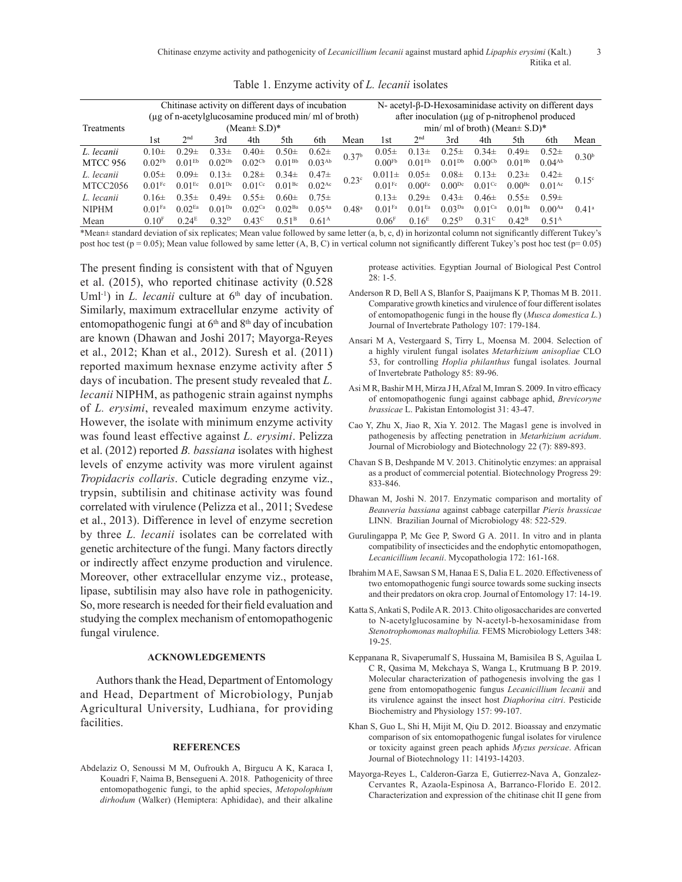| Table 1. Enzyme activity of <i>L. lecanii</i> isolates |  |  |  |  |  |
|--------------------------------------------------------|--|--|--|--|--|
|--------------------------------------------------------|--|--|--|--|--|

|                 | Chitinase activity on different days of incubation                         |                    |                    |                      |                    | N- acetyl-β-D-Hexosaminidase activity on different days |                                                                                        |                      |                    |                    |                      |                    |                    |                   |
|-----------------|----------------------------------------------------------------------------|--------------------|--------------------|----------------------|--------------------|---------------------------------------------------------|----------------------------------------------------------------------------------------|----------------------|--------------------|--------------------|----------------------|--------------------|--------------------|-------------------|
| Treatments      | (µg of n-acetylglucosamine produced min/ ml of broth)<br>(Mean $\pm$ S.D)* |                    |                    |                      |                    |                                                         | after inoculation (µg of p-nitrophenol produced<br>min/ ml of broth) (Mean $\pm$ S.D)* |                      |                    |                    |                      |                    |                    |                   |
|                 | 1st                                                                        | 2 <sub>nd</sub>    | 3rd                | 4th                  | 5th                | 6th                                                     | Mean                                                                                   | 1st                  | 2 <sub>nd</sub>    | 3rd                | 4th                  | 5th                | 6th                | Mean              |
| L. lecanii      | $0.10+$                                                                    | $0.29\pm$          | $0.33\pm$          | $0.40 \pm$           | $0.50 \pm$         | $0.62\pm$                                               | 0.37 <sup>b</sup>                                                                      | $0.05\pm$            | $0.13\pm$          | $0.25 \pm$         | $0.34\pm$            | $0.49\pm$          | $0.52\pm$          | 0.30 <sup>b</sup> |
| <b>MTCC 956</b> | $0.02$ <sup>Fb</sup>                                                       | 0.01 <sup>EB</sup> | $0.02^{Db}$        | $0.02^{\text{Cb}}$   | $0.01^{Bb}$        | 0.03 <sup>Ab</sup>                                      |                                                                                        | 0.00 <sup>Fb</sup>   | 0.01 <sup>EB</sup> | $0.01^{Db}$        | 0.00 <sup>cb</sup>   | $0.01^{Bb}$        | $0.04^{Ab}$        |                   |
| L. lecanii      | $0.05\pm$                                                                  | $0.09\pm$          | $0.13\pm$          | $0.28\pm$            | $0.34\pm$          | $0.47\pm$                                               | 0.23c                                                                                  | $0.011 \pm$          | $0.05\pm$          | $0.08\pm$          | $0.13\pm$            | $0.23 \pm$         | $0.42\pm$          | 0.15c             |
| MTCC2056        | $0.01$ Fc                                                                  | 0.01 <sup>Ec</sup> | $0.01^{Dc}$        | $0.01$ <sup>Cc</sup> | 0.01 <sup>Be</sup> | $0.02^{Ac}$                                             |                                                                                        | $0.01$ <sup>Fc</sup> | 0.00 <sup>Ec</sup> | $0.00^{Dc}$        | $0.01$ <sup>Cc</sup> | 0.00 <sup>Be</sup> | 0.01 <sup>Ac</sup> |                   |
| L. lecanii      | $0.16\pm$                                                                  | $0.35\pm$          | $0.49\pm$          | $0.55\pm$            | $0.60 \pm$         | $0.75 \pm$                                              |                                                                                        | $0.13\pm$            | $0.29\pm$          | $0.43\pm$          | $0.46\pm$            | $0.55\pm$          | $0.59\pm$          |                   |
| <b>NIPHM</b>    | $0.01$ Fa                                                                  | $0.02$ Ea          | 0.01 <sup>Da</sup> | $0.02$ <sup>Ca</sup> | 0.02 <sup>Ba</sup> | $0.05^{Aa}$                                             | $0.48^{\rm a}$                                                                         | $0.01$ Fa            | $0.01$ Ea          | 0.03 <sup>Da</sup> | $0.01$ Ca            | 0.01 <sup>Ba</sup> | $0.00^{Aa}$        | 0.41 <sup>a</sup> |
| Mean            | 0.10 <sup>F</sup>                                                          | 0.24 <sup>E</sup>  | $0.32^{D}$         | $0.43^{\circ}$       | $0.51^{\rm B}$     | 0.61 <sup>A</sup>                                       |                                                                                        | 0.06 <sup>F</sup>    | 0.16 <sup>E</sup>  | $0.25^{D}$         | 0.31 <sup>c</sup>    | 0.42 <sup>B</sup>  | 0.51 <sup>A</sup>  |                   |

\*Mean± standard deviation of six replicates; Mean value followed by same letter (a, b, c, d) in horizontal column not significantly different Tukey's post hoc test ( $p = 0.05$ ); Mean value followed by same letter (A, B, C) in vertical column not significantly different Tukey's post hoc test ( $p = 0.05$ )

The present finding is consistent with that of Nguyen et al. (2015), who reported chitinase activity (0.528 Uml<sup>-1</sup>) in *L. lecanii* culture at  $6<sup>th</sup>$  day of incubation. Similarly, maximum extracellular enzyme activity of entomopathogenic fungi at  $6<sup>th</sup>$  and  $8<sup>th</sup>$  day of incubation are known (Dhawan and Joshi 2017; Mayorga-Reyes et al., 2012; Khan et al., 2012). Suresh et al. (2011) reported maximum hexnase enzyme activity after 5 days of incubation. The present study revealed that *L. lecanii* NIPHM, as pathogenic strain against nymphs of *L. erysimi*, revealed maximum enzyme activity. However, the isolate with minimum enzyme activity was found least effective against *L. erysimi*. Pelizza et al. (2012) reported *B. bassiana* isolates with highest levels of enzyme activity was more virulent against *Tropidacris collaris*. Cuticle degrading enzyme viz., trypsin, subtilisin and chitinase activity was found correlated with virulence (Pelizza et al., 2011; Svedese et al., 2013). Difference in level of enzyme secretion by three *L. lecanii* isolates can be correlated with genetic architecture of the fungi. Many factors directly or indirectly affect enzyme production and virulence. Moreover, other extracellular enzyme viz., protease, lipase, subtilisin may also have role in pathogenicity. So, more research is needed for their field evaluation and studying the complex mechanism of entomopathogenic fungal virulence.

## **ACKNOWLEDGEMENTS**

Authors thank the Head, Department of Entomology and Head, Department of Microbiology, Punjab Agricultural University, Ludhiana, for providing facilities.

#### **REFERENCES**

Abdelaziz O, Senoussi M M, Oufroukh A, Birgucu A K, Karaca I, Kouadri F, Naima B, Bensegueni A. 2018. Pathogenicity of three entomopathogenic fungi, to the aphid species, *Metopolophium dirhodum* (Walker) (Hemiptera: Aphididae), and their alkaline

protease activities. Egyptian Journal of Biological Pest Control 28: 1-5.

- Anderson R D, Bell A S, Blanfor S, Paaijmans K P, Thomas M B. 2011. Comparative growth kinetics and virulence of four different isolates of entomopathogenic fungi in the house fly (*Musca domestica L.*) Journal of Invertebrate Pathology 107: 179-184.
- Ansari M A, Vestergaard S, Tirry L, Moensa M. 2004. Selection of a highly virulent fungal isolates *Metarhizium anisopliae* CLO 53, for controlling *Hoplia philanthus* fungal isolates*.* Journal of Invertebrate Pathology 85: 89-96.
- Asi M R, Bashir M H, Mirza J H, Afzal M, Imran S. 2009. In vitro efficacy of entomopathogenic fungi against cabbage aphid, *Brevicoryne brassicae* L. Pakistan Entomologist 31: 43-47.
- Cao Y, Zhu X, Jiao R, Xia Y. 2012. The Magas1 gene is involved in pathogenesis by affecting penetration in *Metarhizium acridum*. Journal of Microbiology and Biotechnology 22 (7): 889-893.
- Chavan S B, Deshpande M V. 2013. Chitinolytic enzymes: an appraisal as a product of commercial potential. Biotechnology Progress 29: 833-846.
- Dhawan M, Joshi N. 2017. Enzymatic comparison and mortality of *Beauveria bassiana* against cabbage caterpillar *Pieris brassicae*  LINN. Brazilian Journal of Microbiology 48: 522-529.
- Gurulingappa P, Mc Gee P, Sword G A. 2011. In vitro and in planta compatibility of insecticides and the endophytic entomopathogen, *Lecanicillium lecanii*. Mycopathologia 172: 161-168.
- Ibrahim M A E, Sawsan S M, Hanaa E S, Dalia E L. 2020. Effectiveness of two entomopathogenic fungi source towards some sucking insects and their predators on okra crop. Journal of Entomology 17: 14-19.
- Katta S, Ankati S, Podile A R. 2013. Chito oligosaccharides are converted to N-acetylglucosamine by N-acetyl-b-hexosaminidase from *Stenotrophomonas maltophilia.* FEMS Microbiology Letters 348: 19-25.
- Keppanana R, Sivaperumalf S, Hussaina M, Bamisilea B S, Aguilaa L C R, Qasima M, Mekchaya S, Wanga L, Krutmuang B P. 2019. Molecular characterization of pathogenesis involving the gas 1 gene from entomopathogenic fungus *Lecanicillium lecanii* and its virulence against the insect host *Diaphorina citri*. Pesticide Biochemistry and Physiology 157: 99-107.
- Khan S, Guo L, Shi H, Mijit M, Qiu D. 2012. Bioassay and enzymatic comparison of six entomopathogenic fungal isolates for virulence or toxicity against green peach aphids *Myzus persicae*. African Journal of Biotechnology 11: 14193-14203.
- Mayorga-Reyes L, Calderon-Garza E, Gutierrez-Nava A, Gonzalez-Cervantes R, Azaola-Espinosa A, Barranco-Florido E. 2012. Characterization and expression of the chitinase chit II gene from